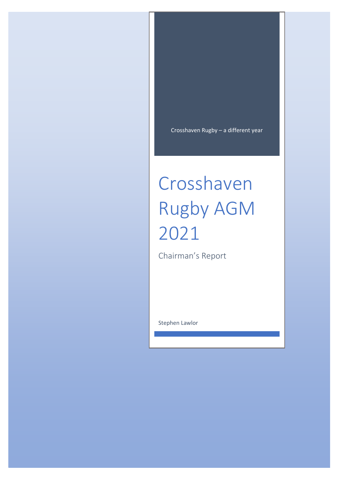Crosshaven Rugby – a different year

# Crosshaven Rugby AGM 2021

Chairman's Report

Stephen Lawlor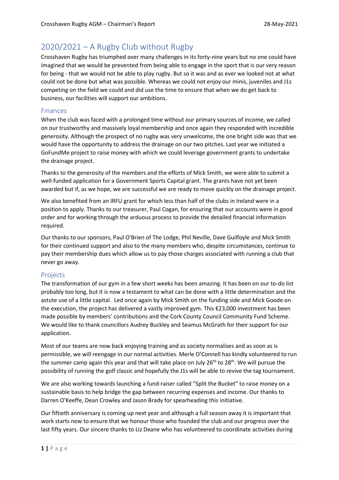# 2020/2021 – A Rugby Club without Rugby

Crosshaven Rugby has triumphed over many challenges in its forty-nine years but no one could have imagined that we would be prevented from being able to engage in the sport that is our very reason for being - that we would not be able to play rugby. But so it was and as ever we looked not at what could not be done but what was possible. Whereas we could not enjoy our minis, juveniles and J1s competing on the field we could and did use the time to ensure that when we do get back to business, our facilities will support our ambitions.

## Finances

When the club was faced with a prolonged time without our primary sources of income, we called on our trustworthy and massively loyal membership and once again they responded with incredible generosity. Although the prospect of no rugby was very unwelcome, the one bright side was that we would have the opportunity to address the drainage on our two pitches. Last year we initiated a GoFundMe project to raise money with which we could leverage government grants to undertake the drainage project.

Thanks to the generosity of the members and the efforts of Mick Smith, we were able to submit a well-funded application for a Government Sports Capital grant. The grants have not yet been awarded but if, as we hope, we are successful we are ready to move quickly on the drainage project.

We also benefited from an IRFU grant for which less than half of the clubs in Ireland were in a position to apply. Thanks to our treasurer, Paul Cogan, for ensuring that our accounts were in good order and for working through the arduous process to provide the detailed financial information required.

Our thanks to our sponsors, Paul O'Brien of The Lodge, Phil Neville, Dave Guilfoyle and Mick Smith for their continued support and also to the many members who, despite circumstances, continue to pay their membership dues which allow us to pay those charges associated with running a club that never go away.

#### Projects

The transformation of our gym in a few short weeks has been amazing. It has been on our to-do list probably too long, but it is now a testament to what can be done with a little determination and the astute use of a little capital. Led once again by Mick Smith on the funding side and Mick Goode on the execution, the project has delivered a vastly improved gym. This €23,000 investment has been made possible by members' contributions and the Cork County Council Community Fund Scheme. We would like to thank councillors Audrey Buckley and Seamus McGrath for their support for our application.

Most of our teams are now back enjoying training and as society normalises and as soon as is permissible, we will reengage in our normal activities. Merle O'Connell has kindly volunteered to run the summer camp again this year and that will take place on July 26<sup>th</sup> to 28<sup>th</sup>. We will pursue the possibility of running the golf classic and hopefully the J1s will be able to revive the tag tournament.

We are also working towards launching a fund-raiser called "Split the Bucket" to raise money on a sustainable basis to help bridge the gap between recurring expenses and income. Our thanks to Darren O'Keeffe, Dean Crowley and Jason Brady for spearheading this initiative.

Our fiftieth anniversary is coming up next year and although a full season away it is important that work starts now to ensure that we honour those who founded the club and our progress over the last fifty years. Our sincere thanks to Liz Deane who has volunteered to coordinate activities during